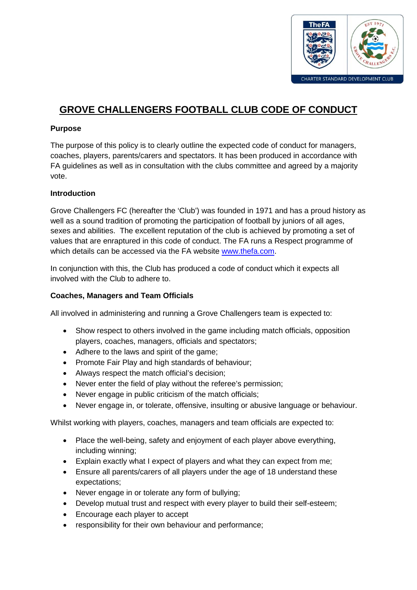

# **GROVE CHALLENGERS FOOTBALL CLUB CODE OF CONDUCT**

## **Purpose**

The purpose of this policy is to clearly outline the expected code of conduct for managers, coaches, players, parents/carers and spectators. It has been produced in accordance with FA guidelines as well as in consultation with the clubs committee and agreed by a majority vote.

### **Introduction**

Grove Challengers FC (hereafter the 'Club') was founded in 1971 and has a proud history as well as a sound tradition of promoting the participation of football by juniors of all ages, sexes and abilities. The excellent reputation of the club is achieved by promoting a set of values that are enraptured in this code of conduct. The FA runs a Respect programme of which details can be accessed via the FA website [www.thefa.com.](http://www.thefa.com/)

In conjunction with this, the Club has produced a code of conduct which it expects all involved with the Club to adhere to.

### **Coaches, Managers and Team Officials**

All involved in administering and running a Grove Challengers team is expected to:

- Show respect to others involved in the game including match officials, opposition players, coaches, managers, officials and spectators;
- Adhere to the laws and spirit of the game;
- Promote Fair Play and high standards of behaviour;
- Always respect the match official's decision;
- Never enter the field of play without the referee's permission;
- Never engage in public criticism of the match officials;
- Never engage in, or tolerate, offensive, insulting or abusive language or behaviour.

Whilst working with players, coaches, managers and team officials are expected to:

- Place the well-being, safety and enjoyment of each player above everything, including winning;
- Explain exactly what I expect of players and what they can expect from me;
- Ensure all parents/carers of all players under the age of 18 understand these expectations;
- Never engage in or tolerate any form of bullying;
- Develop mutual trust and respect with every player to build their self-esteem;
- Encourage each player to accept
- responsibility for their own behaviour and performance;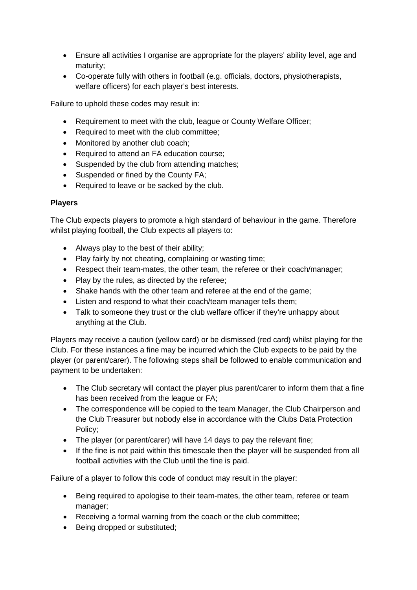- Ensure all activities I organise are appropriate for the players' ability level, age and maturity;
- Co-operate fully with others in football (e.g. officials, doctors, physiotherapists, welfare officers) for each player's best interests.

Failure to uphold these codes may result in:

- Requirement to meet with the club, league or County Welfare Officer;
- Required to meet with the club committee;
- Monitored by another club coach;
- Required to attend an FA education course:
- Suspended by the club from attending matches;
- Suspended or fined by the County FA;
- Required to leave or be sacked by the club.

#### **Players**

The Club expects players to promote a high standard of behaviour in the game. Therefore whilst playing football, the Club expects all players to:

- Always play to the best of their ability;
- Play fairly by not cheating, complaining or wasting time;
- Respect their team-mates, the other team, the referee or their coach/manager;
- Play by the rules, as directed by the referee:
- Shake hands with the other team and referee at the end of the game;
- Listen and respond to what their coach/team manager tells them;
- Talk to someone they trust or the club welfare officer if they're unhappy about anything at the Club.

Players may receive a caution (yellow card) or be dismissed (red card) whilst playing for the Club. For these instances a fine may be incurred which the Club expects to be paid by the player (or parent/carer). The following steps shall be followed to enable communication and payment to be undertaken:

- The Club secretary will contact the player plus parent/carer to inform them that a fine has been received from the league or FA;
- The correspondence will be copied to the team Manager, the Club Chairperson and the Club Treasurer but nobody else in accordance with the Clubs Data Protection Policy;
- The player (or parent/carer) will have 14 days to pay the relevant fine;
- If the fine is not paid within this timescale then the player will be suspended from all football activities with the Club until the fine is paid.

Failure of a player to follow this code of conduct may result in the player:

- Being required to apologise to their team-mates, the other team, referee or team manager;
- Receiving a formal warning from the coach or the club committee;
- Being dropped or substituted;